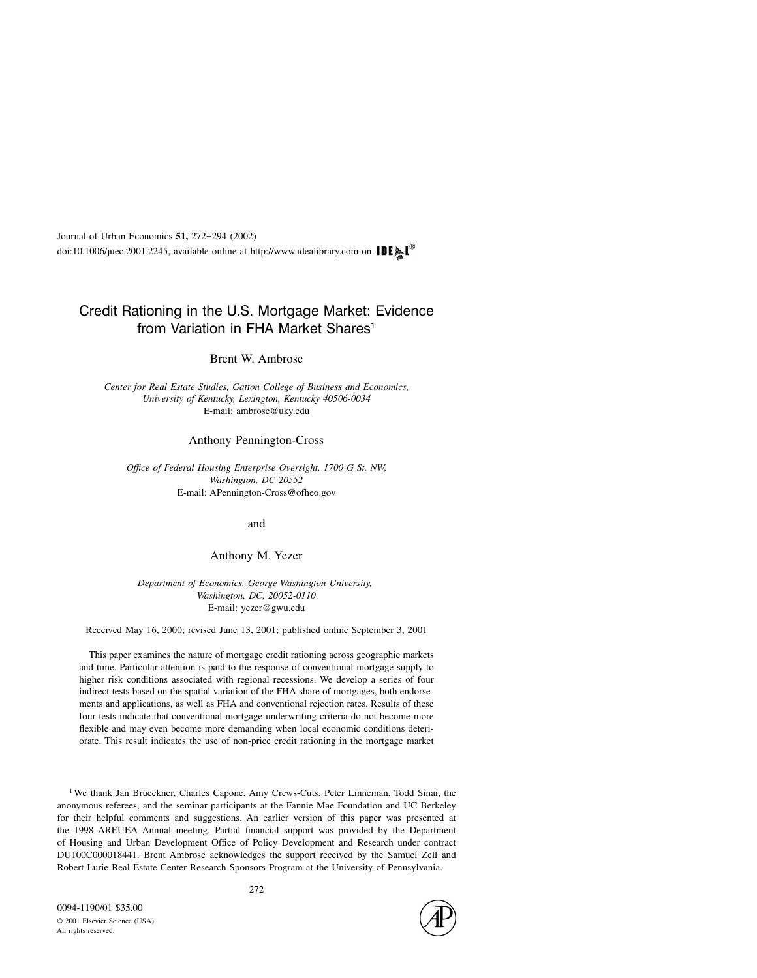## Credit Rationing in the U.S. Mortgage Market: Evidence from Variation in FHA Market Shares<sup>1</sup>

Brent W. Ambrose

Center for Real Estate Studies, Gatton College of Business and Economics, University of Kentucky, Lexington, Kentucky 40506-0034 E-mail: ambrose@uky.edu

## Anthony Pennington-Cross

Office of Federal Housing Enterprise Oversight, 1700 G St. NW, Washington, DC 20552 E-mail: APennington-Cross@ofheo.gov

and

Anthony M. Yezer

Department of Economics, George Washington University, Washington, DC, 20052-0110 E-mail: yezer@gwu.edu

Received May 16, 2000; revised June 13, 2001; published online September 3, 2001

This paper examines the nature of mortgage credit rationing across geographic markets and time. Particular attention is paid to the response of conventional mortgage supply to higher risk conditions associated with regional recessions. We develop a series of four indirect tests based on the spatial variation of the FHA share of mortgages, both endorsements and applications, as well as FHA and conventional rejection rates. Results of these four tests indicate that conventional mortgage underwriting criteria do not become more flexible and may even become more demanding when local economic conditions deteriorate. This result indicates the use of non-price credit rationing in the mortgage market

<sup>1</sup> We thank Jan Brueckner, Charles Capone, Amy Crews-Cuts, Peter Linneman, Todd Sinai, the anonymous referees, and the seminar participants at the Fannie Mae Foundation and UC Berkeley for their helpful comments and suggestions. An earlier version of this paper was presented at the 1998 AREUEA Annual meeting. Partial financial support was provided by the Department of Housing and Urban Development Office of Policy Development and Research under contract DU100C000018441. Brent Ambrose acknowledges the support received by the Samuel Zell and Robert Lurie Real Estate Center Research Sponsors Program at the University of Pennsylvania.

All rights reserved.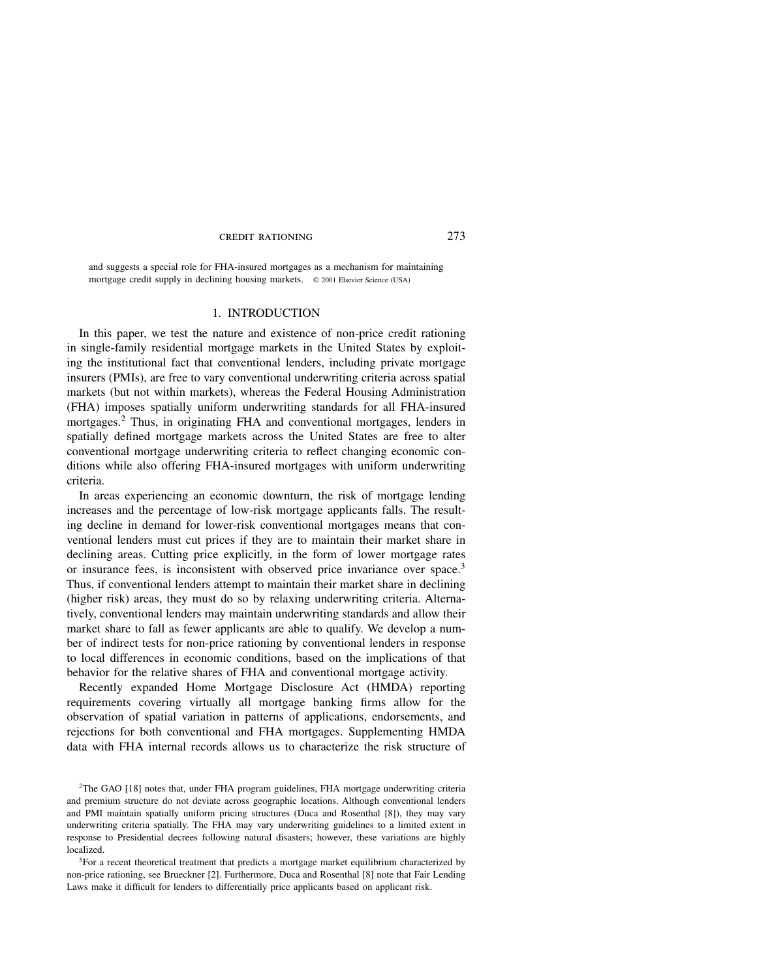and suggests a special role for FHA-insured mortgages as a mechanism for maintaining mortgage credit supply in declining housing markets. © 2001 Elsevier Science (USA)

## 1. INTRODUCTION

In this paper, we test the nature and existence of non-price credit rationing in single-family residential mortgage markets in the United States by exploiting the institutional fact that conventional lenders, including private mortgage insurers (PMIs), are free to vary conventional underwriting criteria across spatial markets (but not within markets), whereas the Federal Housing Administration (FHA) imposes spatially uniform underwriting standards for all FHA-insured mortgages.2 Thus, in originating FHA and conventional mortgages, lenders in spatially defined mortgage markets across the United States are free to alter conventional mortgage underwriting criteria to reflect changing economic conditions while also offering FHA-insured mortgages with uniform underwriting criteria.

In areas experiencing an economic downturn, the risk of mortgage lending increases and the percentage of low-risk mortgage applicants falls. The resulting decline in demand for lower-risk conventional mortgages means that conventional lenders must cut prices if they are to maintain their market share in declining areas. Cutting price explicitly, in the form of lower mortgage rates or insurance fees, is inconsistent with observed price invariance over space.<sup>3</sup> Thus, if conventional lenders attempt to maintain their market share in declining (higher risk) areas, they must do so by relaxing underwriting criteria. Alternatively, conventional lenders may maintain underwriting standards and allow their market share to fall as fewer applicants are able to qualify. We develop a number of indirect tests for non-price rationing by conventional lenders in response to local differences in economic conditions, based on the implications of that behavior for the relative shares of FHA and conventional mortgage activity.

Recently expanded Home Mortgage Disclosure Act (HMDA) reporting requirements covering virtually all mortgage banking firms allow for the observation of spatial variation in patterns of applications, endorsements, and rejections for both conventional and FHA mortgages. Supplementing HMDA data with FHA internal records allows us to characterize the risk structure of

2 The GAO [18] notes that, under FHA program guidelines, FHA mortgage underwriting criteria and premium structure do not deviate across geographic locations. Although conventional lenders and PMI maintain spatially uniform pricing structures (Duca and Rosenthal [8]), they may vary underwriting criteria spatially. The FHA may vary underwriting guidelines to a limited extent in response to Presidential decrees following natural disasters; however, these variations are highly localized.

<sup>3</sup>For a recent theoretical treatment that predicts a mortgage market equilibrium characterized by non-price rationing, see Brueckner [2]. Furthermore, Duca and Rosenthal [8] note that Fair Lending Laws make it difficult for lenders to differentially price applicants based on applicant risk.